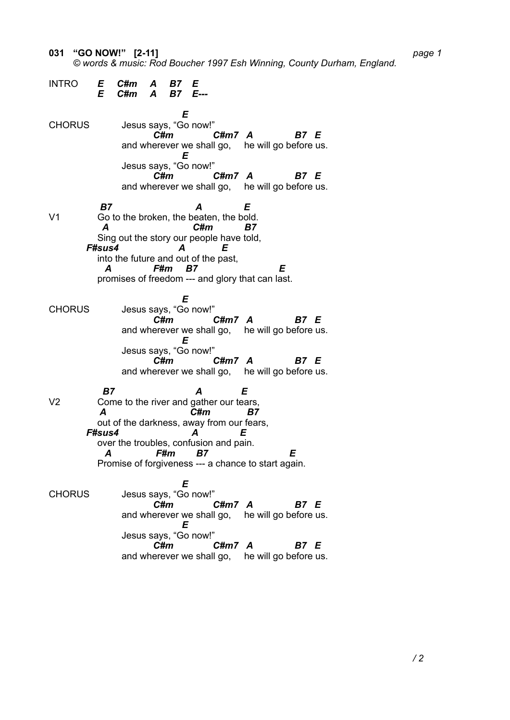**031 "GO NOW!" [2-11]** *page 1*

 *© words & music: Rod Boucher 1997 Esh Winning, County Durham, England.*

INTRO *E C#m A B7 E E C#m A B7 E--- E* CHORUS Jesus says, "Go now!" *C#m C#m7 A B7 E* and wherever we shall go, he will go before us. *E* Jesus says, "Go now!"<br>C#m *C#m C#m7 A B7 E* and wherever we shall go, he will go before us.  *B7 A E*  V1 Go to the broken, the beaten, the bold.  *A C#m B7*  Sing out the story our people have told,  *F#sus4 A E*  into the future and out of the past,  *A F#m B7 E*  promises of freedom --- and glory that can last. *E* CHORUS Jesus says, "Go now!" *C#m C#m7 A B7 E* and wherever we shall go, he will go before us. *E* Jesus says, "Go now!" *C#m C#m7 A B7 E* and wherever we shall go, he will go before us.  *B7 A E*  V2 Come to the river and gather our tears,  *A C#m B7*  out of the darkness, away from our fears,  *F#sus4 A E*  over the troubles, confusion and pain.  *A F#m B7 E*  Promise of forgiveness --- a chance to start again. *E* CHORUS Jesus says, "Go now!" *C#m C#m7 A B7 E* and wherever we shall go, he will go before us. *E* Jesus says, "Go now!" *C#m C#m7 A B7 E* and wherever we shall go, he will go before us.